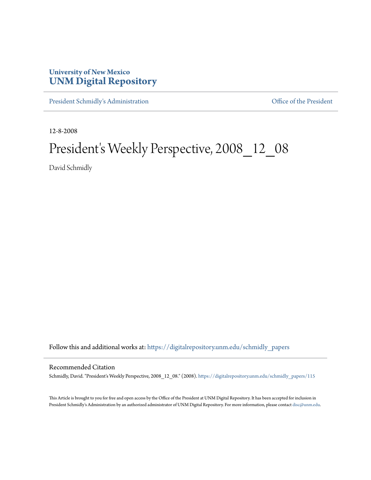# **University of New Mexico [UNM Digital Repository](https://digitalrepository.unm.edu?utm_source=digitalrepository.unm.edu%2Fschmidly_papers%2F115&utm_medium=PDF&utm_campaign=PDFCoverPages)**

[President Schmidly's Administration](https://digitalrepository.unm.edu/schmidly_papers?utm_source=digitalrepository.unm.edu%2Fschmidly_papers%2F115&utm_medium=PDF&utm_campaign=PDFCoverPages) [Office of the President](https://digitalrepository.unm.edu/ofc_president?utm_source=digitalrepository.unm.edu%2Fschmidly_papers%2F115&utm_medium=PDF&utm_campaign=PDFCoverPages)

12-8-2008

# President's Weekly Perspective, 2008\_12\_08

David Schmidly

Follow this and additional works at: [https://digitalrepository.unm.edu/schmidly\\_papers](https://digitalrepository.unm.edu/schmidly_papers?utm_source=digitalrepository.unm.edu%2Fschmidly_papers%2F115&utm_medium=PDF&utm_campaign=PDFCoverPages)

#### Recommended Citation

Schmidly, David. "President's Weekly Perspective, 2008\_12\_08." (2008). [https://digitalrepository.unm.edu/schmidly\\_papers/115](https://digitalrepository.unm.edu/schmidly_papers/115?utm_source=digitalrepository.unm.edu%2Fschmidly_papers%2F115&utm_medium=PDF&utm_campaign=PDFCoverPages)

This Article is brought to you for free and open access by the Office of the President at UNM Digital Repository. It has been accepted for inclusion in President Schmidly's Administration by an authorized administrator of UNM Digital Repository. For more information, please contact [disc@unm.edu](mailto:disc@unm.edu).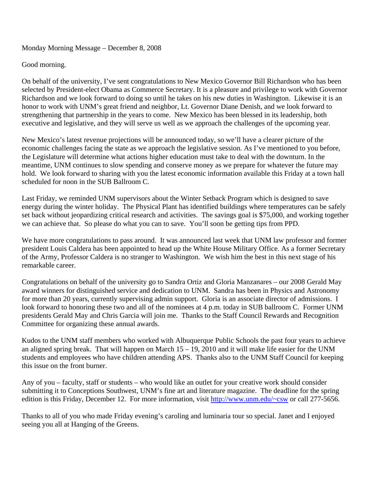### Monday Morning Message – December 8, 2008

## Good morning.

On behalf of the university, I've sent congratulations to New Mexico Governor Bill Richardson who has been selected by President-elect Obama as Commerce Secretary. It is a pleasure and privilege to work with Governor Richardson and we look forward to doing so until he takes on his new duties in Washington. Likewise it is an honor to work with UNM's great friend and neighbor, Lt. Governor Diane Denish, and we look forward to strengthening that partnership in the years to come. New Mexico has been blessed in its leadership, both executive and legislative, and they will serve us well as we approach the challenges of the upcoming year.

New Mexico's latest revenue projections will be announced today, so we'll have a clearer picture of the economic challenges facing the state as we approach the legislative session. As I've mentioned to you before, the Legislature will determine what actions higher education must take to deal with the downturn. In the meantime, UNM continues to slow spending and conserve money as we prepare for whatever the future may hold. We look forward to sharing with you the latest economic information available this Friday at a town hall scheduled for noon in the SUB Ballroom C.

Last Friday, we reminded UNM supervisors about the Winter Setback Program which is designed to save energy during the winter holiday. The Physical Plant has identified buildings where temperatures can be safely set back without jeopardizing critical research and activities. The savings goal is \$75,000, and working together we can achieve that. So please do what you can to save. You'll soon be getting tips from PPD.

We have more congratulations to pass around. It was announced last week that UNM law professor and former president Louis Caldera has been appointed to head up the White House Military Office. As a former Secretary of the Army, Professor Caldera is no stranger to Washington. We wish him the best in this next stage of his remarkable career.

Congratulations on behalf of the university go to Sandra Ortiz and Gloria Manzanares – our 2008 Gerald May award winners for distinguished service and dedication to UNM. Sandra has been in Physics and Astronomy for more than 20 years, currently supervising admin support. Gloria is an associate director of admissions. I look forward to honoring these two and all of the nominees at 4 p.m. today in SUB ballroom C. Former UNM presidents Gerald May and Chris Garcia will join me. Thanks to the Staff Council Rewards and Recognition Committee for organizing these annual awards.

Kudos to the UNM staff members who worked with Albuquerque Public Schools the past four years to achieve an aligned spring break. That will happen on March  $15 - 19$ , 2010 and it will make life easier for the UNM students and employees who have children attending APS. Thanks also to the UNM Staff Council for keeping this issue on the front burner.

Any of you – faculty, staff or students – who would like an outlet for your creative work should consider submitting it to Conceptions Southwest, UNM's fine art and literature magazine. The deadline for the spring edition is this Friday, December 12. For more information, visit http://www.unm.edu/~csw or call 277-5656.

Thanks to all of you who made Friday evening's caroling and luminaria tour so special. Janet and I enjoyed seeing you all at Hanging of the Greens.